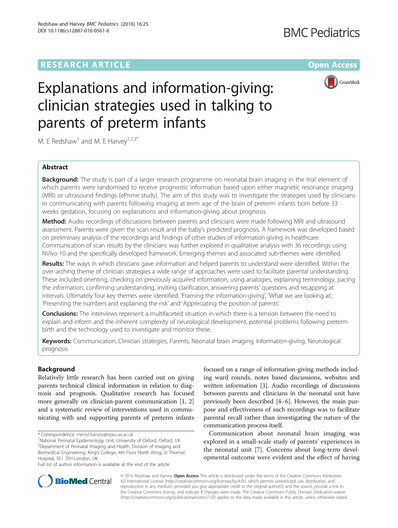# **RESEARCH ARTICLE External Structure Community Community Community Community Community Community Community Community**



# Explanations and information-giving: clinician strategies used in talking to parents of preterm infants

M. E Redshaw<sup>1</sup> and M. E Harvey<sup>1,2,3\*</sup>

# Abstract

**Background:** The study is part of a larger research programme on neonatal brain imaging in the trial element of which parents were randomised to receive prognostic information based upon either magnetic resonance imaging (MRI) or ultrasound findings (ePrime study). The aim of this study was to investigate the strategies used by clinicians in communicating with parents following imaging at term age of the brain of preterm infants born before 33 weeks gestation, focusing on explanations and information-giving about prognosis

Method: Audio recordings of discussions between parents and clinicians were made following MRI and ultrasound assessment. Parents were given the scan result and the baby's predicted prognosis. A framework was developed based on preliminary analysis of the recordings and findings of other studies of information-giving in healthcare. Communication of scan results by the clinicians was further explored in qualitative analysis with 36 recordings using NVivo 10 and the specifically developed framework. Emerging themes and associated sub-themes were identified.

Results: The ways in which clinicians gave information and helped parents to understand were identified. Within the over-arching theme of clinician strategies a wide range of approaches were used to facilitate parental understanding. These included orienting, checking on previously acquired information, using analogies, explaining terminology, pacing the information, confirming understanding, inviting clarification, answering parents' questions and recapping at intervals. Ultimately four key themes were identified: 'Framing the information-giving', 'What we are looking at', 'Presenting the numbers and explaining the risk' and 'Appreciating the position of parents'.

Conclusions: The interviews represent a multifaceted situation in which there is a tension between the need to explain and inform and the inherent complexity of neurological development, potential problems following preterm birth and the technology used to investigate and monitor these.

Keywords: Communication, Clinician strategies, Parents, Neonatal brain imaging, Information-giving, Neurological prognosis

### Background

Relatively little research has been carried out on giving parents technical clinical information in relation to diagnosis and prognosis. Qualitative research has focused more generally on clinician-parent communication [[1, 2](#page-11-0)] and a systematic review of interventions used in communicating with and supporting parents of preterm infants

\* Correspondence: [merryl.harvey@npeu.ax.ac.uk](mailto:merryl.harvey@npeu.ax.ac.uk) <sup>1</sup>

National Perinatal Epidemiology Unit, University of Oxford, Oxford, UK <sup>2</sup>Department of Perinatal Imaging and Health, Division of Imaging and Biomedical Engineering, King's College, 4th Floor North Wing, St Thomas' Hospital, SE1 7EH London, UK

Full list of author information is available at the end of the article

focused on a range of information-giving methods including ward rounds, notes based discussions, websites and written information [\[3](#page-11-0)]. Audio recordings of discussions between parents and clinicians in the neonatal unit have previously been described [\[4](#page-11-0)–[6\]](#page-11-0). However, the main purpose and effectiveness of such recordings was to facilitate parental recall rather than investigating the nature of the communication process itself.

Communication about neonatal brain imaging was explored in a small-scale study of parents' experiences in the neonatal unit [\[7](#page-11-0)]. Concerns about long-term developmental outcome were evident and the effect of having



© 2016 Redshaw and Harvey. Open Access This article is distributed under the terms of the Creative Commons Attribution 4.0 International License ([http://creativecommons.org/licenses/by/4.0/\)](http://creativecommons.org/licenses/by/4.0/), which permits unrestricted use, distribution, and reproduction in any medium, provided you give appropriate credit to the original author(s) and the source, provide a link to the Creative Commons license, and indicate if changes were made. The Creative Commons Public Domain Dedication waiver [\(http://creativecommons.org/publicdomain/zero/1.0/](http://creativecommons.org/publicdomain/zero/1.0/)) applies to the data made available in this article, unless otherwise stated.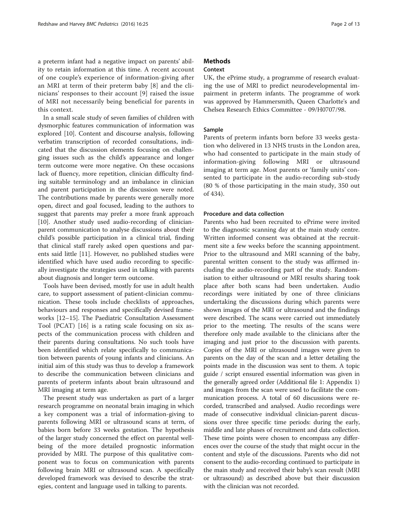a preterm infant had a negative impact on parents' ability to retain information at this time. A recent account of one couple's experience of information-giving after an MRI at term of their preterm baby [\[8\]](#page-11-0) and the clinicians' responses to their account [[9\]](#page-11-0) raised the issue of MRI not necessarily being beneficial for parents in this context.

In a small scale study of seven families of children with dysmorphic features communication of information was explored [[10\]](#page-11-0). Content and discourse analysis, following verbatim transcription of recorded consultations, indicated that the discussion elements focusing on challenging issues such as the child's appearance and longer term outcome were more negative. On these occasions lack of fluency, more repetition, clinician difficulty finding suitable terminology and an imbalance in clinician and parent participation in the discussion were noted. The contributions made by parents were generally more open, direct and goal focused, leading to the authors to suggest that parents may prefer a more frank approach [[10\]](#page-11-0). Another study used audio-recording of clinicianparent communication to analyse discussions about their child's possible participation in a clinical trial, finding that clinical staff rarely asked open questions and parents said little [[11\]](#page-11-0). However, no published studies were identified which have used audio recording to specifically investigate the strategies used in talking with parents about diagnosis and longer term outcome.

Tools have been devised, mostly for use in adult health care, to support assessment of patient-clinician communication. These tools include checklists of approaches, behaviours and responses and specifically devised frameworks [[12](#page-11-0)–[15\]](#page-11-0). The Paediatric Consultation Assessment Tool (PCAT) [[16\]](#page-11-0) is a rating scale focusing on six aspects of the communication process with children and their parents during consultations. No such tools have been identified which relate specifically to communication between parents of young infants and clinicians. An initial aim of this study was thus to develop a framework to describe the communication between clinicians and parents of preterm infants about brain ultrasound and MRI imaging at term age.

The present study was undertaken as part of a larger research programme on neonatal brain imaging in which a key component was a trial of information-giving to parents following MRI or ultrasound scans at term, of babies born before 33 weeks gestation. The hypothesis of the larger study concerned the effect on parental wellbeing of the more detailed prognostic information provided by MRI. The purpose of this qualitative component was to focus on communication with parents following brain MRI or ultrasound scan. A specifically developed framework was devised to describe the strategies, content and language used in talking to parents.

# **Methods**

### Context

UK, the ePrime study, a programme of research evaluating the use of MRI to predict neurodevelopmental impairment in preterm infants. The programme of work was approved by Hammersmith, Queen Charlotte's and Chelsea Research Ethics Committee - 09/H0707/98.

#### Sample

Parents of preterm infants born before 33 weeks gestation who delivered in 13 NHS trusts in the London area, who had consented to participate in the main study of information-giving following MRI or ultrasound imaging at term age. Most parents or 'family units' consented to participate in the audio-recording sub-study (80 % of those participating in the main study, 350 out of 434).

### Procedure and data collection

Parents who had been recruited to ePrime were invited to the diagnostic scanning day at the main study centre. Written informed consent was obtained at the recruitment site a few weeks before the scanning appointment. Prior to the ultrasound and MRI scanning of the baby, parental written consent to the study was affirmed including the audio-recording part of the study. Randomisation to either ultrasound or MRI results sharing took place after both scans had been undertaken. Audio recordings were initiated by one of three clinicians undertaking the discussions during which parents were shown images of the MRI or ultrasound and the findings were described. The scans were carried out immediately prior to the meeting. The results of the scans were therefore only made available to the clinicians after the imaging and just prior to the discussion with parents. Copies of the MRI or ultrasound images were given to parents on the day of the scan and a letter detailing the points made in the discussion was sent to them. A topic guide / script ensured essential information was given in the generally agreed order (Additional file [1:](#page-11-0) Appendix 1) and images from the scan were used to facilitate the communication process. A total of 60 discussions were recorded, transcribed and analysed. Audio recordings were made of consecutive individual clinician-parent discussions over three specific time periods: during the early, middle and late phases of recruitment and data collection. These time points were chosen to encompass any differences over the course of the study that might occur in the content and style of the discussions. Parents who did not consent to the audio-recording continued to participate in the main study and received their baby's scan result (MRI or ultrasound) as described above but their discussion with the clinician was not recorded.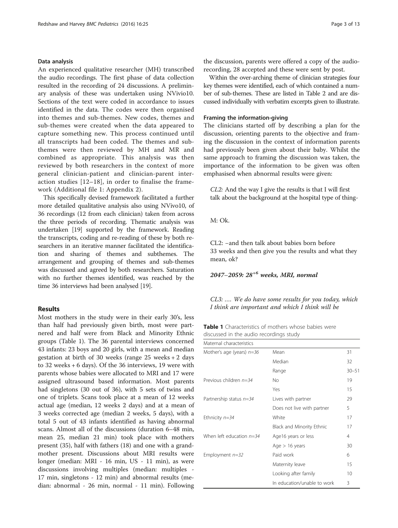### Data analysis

An experienced qualitative researcher (MH) transcribed the audio recordings. The first phase of data collection resulted in the recording of 24 discussions. A preliminary analysis of these was undertaken using NVivio10. Sections of the text were coded in accordance to issues identified in the data. The codes were then organised into themes and sub-themes. New codes, themes and sub-themes were created when the data appeared to capture something new. This process continued until all transcripts had been coded. The themes and subthemes were then reviewed by MH and MR and combined as appropriate. This analysis was then reviewed by both researchers in the context of more general clinician-patient and clinician-parent interaction studies [[12](#page-11-0)–[18](#page-11-0)], in order to finalise the framework (Additional file [1](#page-11-0): Appendix 2).

This specifically devised framework facilitated a further more detailed qualitative analysis also using NVivo10, of 36 recordings (12 from each clinician) taken from across the three periods of recording. Thematic analysis was undertaken [[19](#page-11-0)] supported by the framework. Reading the transcripts, coding and re-reading of these by both researchers in an iterative manner facilitated the identification and sharing of themes and subthemes. The arrangement and grouping of themes and sub-themes was discussed and agreed by both researchers. Saturation with no further themes identified, was reached by the time 36 interviews had been analysed [\[19\]](#page-11-0).

### Results

Most mothers in the study were in their early 30's, less than half had previously given birth, most were partnered and half were from Black and Minority Ethnic groups (Table 1). The 36 parental interviews concerned 43 infants: 23 boys and 20 girls, with a mean and median gestation at birth of 30 weeks (range 25 weeks + 2 days to 32 weeks + 6 days). Of the 36 interviews, 19 were with parents whose babies were allocated to MRI and 17 were assigned ultrasound based information. Most parents had singletons (30 out of 36), with 5 sets of twins and one of triplets. Scans took place at a mean of 12 weeks actual age (median, 12 weeks 2 days) and at a mean of 3 weeks corrected age (median 2 weeks, 5 days), with a total 5 out of 43 infants identified as having abnormal scans. Almost all of the discussions (duration 6–48 min, mean 25, median 21 min) took place with mothers present (35), half with fathers (18) and one with a grandmother present. Discussions about MRI results were longer (median: MRI - 16 min, US - 11 min), as were discussions involving multiples (median: multiples - 17 min, singletons - 12 min) and abnormal results (median: abnormal - 26 min, normal - 11 min). Following

the discussion, parents were offered a copy of the audiorecording, 28 accepted and these were sent by post.

Within the over-arching theme of clinician strategies four key themes were identified, each of which contained a number of sub-themes. These are listed in Table [2](#page-3-0) and are discussed individually with verbatim excerpts given to illustrate.

### Framing the information-giving

The clinicians started off by describing a plan for the discussion, orienting parents to the objective and framing the discussion in the context of information parents had previously been given about their baby. Whilst the same approach to framing the discussion was taken, the importance of the information to be given was often emphasised when abnormal results were given:

CL2: And the way I give the results is that I will first talk about the background at the hospital type of thing-

M: Ok.

CL2: −and then talk about babies born before 33 weeks and then give you the results and what they mean, ok?

2047–2059: 28+6 weeks, MRI, normal

CL3: …. We do have some results for you today, which I think are important and which I think will be

|  | <b>Table 1</b> Characteristics of mothers whose babies were |  |  |
|--|-------------------------------------------------------------|--|--|
|  | discussed in the audio recordings study                     |  |  |

| Maternal characteristics    |                             |           |
|-----------------------------|-----------------------------|-----------|
| Mother's age (years) $n=36$ | Mean                        | 31        |
|                             | Median                      | 32        |
|                             | Range                       | $30 - 51$ |
| Previous children $n=34$    | Nο                          | 19        |
|                             | Yes                         | 15        |
| Partnership status $n=34$   | Lives with partner          | 29        |
|                             | Does not live with partner  | 5         |
| Ethnicity $n=34$            | White                       | 17        |
|                             | Black and Minority Ethnic   | 17        |
| When left education $n=34$  | Age16 years or less         | 4         |
|                             | Age $> 16$ years            | 30        |
| Employment $n=32$           | Paid work                   | 6         |
|                             | Maternity leave             | 15        |
|                             | Looking after family        | 10        |
|                             | In education/unable to work | 3         |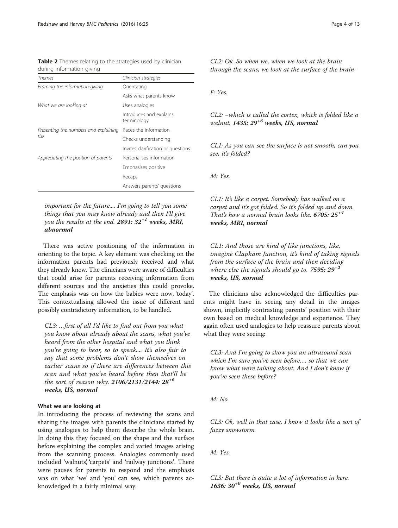<span id="page-3-0"></span>

|                           |  | Table 2 Themes relating to the strategies used by clinician |  |  |
|---------------------------|--|-------------------------------------------------------------|--|--|
| during information-giving |  |                                                             |  |  |

| Themes                                | Clinician strategies                   |  |  |
|---------------------------------------|----------------------------------------|--|--|
| Framing the information-giving        | Orientating                            |  |  |
|                                       | Asks what parents know                 |  |  |
| What we are looking at                | Uses analogies                         |  |  |
|                                       | Introduces and explains<br>terminology |  |  |
| Presenting the numbers and explaining | Paces the information                  |  |  |
| risk                                  | Checks understanding                   |  |  |
|                                       | Invites clarification or questions     |  |  |
| Appreciating the position of parents  | Personalises information               |  |  |
|                                       | Emphasises positive                    |  |  |
|                                       | Recaps                                 |  |  |
|                                       | Answers parents' questions             |  |  |

important for the future.... I'm going to tell you some things that you may know already and then I'll give you the results at the end.  $2891: 32^{+1}$  weeks, MRI, abnormal

There was active positioning of the information in orienting to the topic. A key element was checking on the information parents had previously received and what they already knew. The clinicians were aware of difficulties that could arise for parents receiving information from different sources and the anxieties this could provoke. The emphasis was on how the babies were now, 'today'. This contextualising allowed the issue of different and possibly contradictory information, to be handled.

CL3: …first of all I'd like to find out from you what you know about already about the scans, what you've heard from the other hospital and what you think you're going to hear, so to speak.... It's also fair to say that some problems don't show themselves on earlier scans so if there are differences between this scan and what you've heard before then that'll be the sort of reason why.  $2106/2131/2144:28^{+6}$ weeks, US, normal

#### What we are looking at

In introducing the process of reviewing the scans and sharing the images with parents the clinicians started by using analogies to help them describe the whole brain. In doing this they focused on the shape and the surface before explaining the complex and varied images arising from the scanning process. Analogies commonly used included 'walnuts', 'carpets' and 'railway junctions'. There were pauses for parents to respond and the emphasis was on what 'we' and 'you' can see, which parents acknowledged in a fairly minimal way:

CL2: Ok. So when we, when we look at the brain through the scans, we look at the surface of the brain-

F: Yes.

CL2: −which is called the cortex, which is folded like a walnut. 1435:  $29^{+6}$  weeks, US, normal

CL1: As you can see the surface is not smooth, can you see, it's folded?

M: Yes.

CL1: It's like a carpet. Somebody has walked on a carpet and it's got folded. So it's folded up and down. That's how a normal brain looks like.  $6705: 25^{+4}$ weeks, MRI, normal

CL1: And those are kind of like junctions, like, imagine Clapham Junction, it's kind of taking signals from the surface of the brain and then deciding where else the signals should go to. 7595:  $29^{+2}$ weeks, US, normal

The clinicians also acknowledged the difficulties parents might have in seeing any detail in the images shown, implicitly contrasting parents' position with their own based on medical knowledge and experience. They again often used analogies to help reassure parents about what they were seeing:

CL3: And I'm going to show you an ultrasound scan which I'm sure you've seen before.... so that we can know what we're talking about. And I don't know if you've seen these before?

M: No.

CL3: Ok, well in that case, I know it looks like a sort of fuzzy snowstorm.

M: Yes.

CL3: But there is quite a lot of information in here. 1636:  $30^{+0}$  weeks, US, normal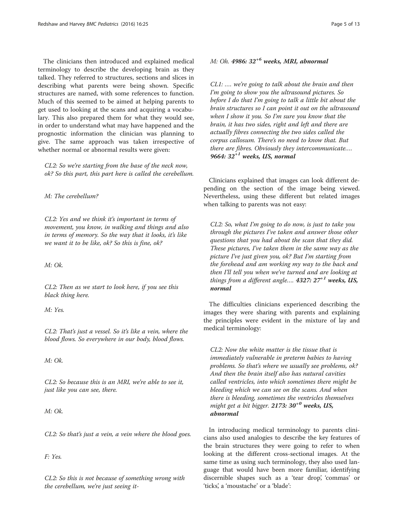The clinicians then introduced and explained medical terminology to describe the developing brain as they talked. They referred to structures, sections and slices in describing what parents were being shown. Specific structures are named, with some references to function. Much of this seemed to be aimed at helping parents to get used to looking at the scans and acquiring a vocabulary. This also prepared them for what they would see, in order to understand what may have happened and the prognostic information the clinician was planning to give. The same approach was taken irrespective of whether normal or abnormal results were given:

CL2: So we're starting from the base of the neck now, ok? So this part, this part here is called the cerebellum.

M: The cerebellum?

CL2: Yes and we think it's important in terms of movement, you know, in walking and things and also in terms of memory. So the way that it looks, it's like we want it to be like, ok? So this is fine, ok?

M: Ok.

CL2: Then as we start to look here, if you see this black thing here.

M: Yes.

CL2: That's just a vessel. So it's like a vein, where the blood flows. So everywhere in our body, blood flows.

### M: Ok.

CL2: So because this is an MRI, we're able to see it, just like you can see, there.

# M: Ok.

CL2: So that's just a vein, a vein where the blood goes.

F: Yes.

CL2: So this is not because of something wrong with the cerebellum, we're just seeing itM: Oh. 4986:  $32^{+6}$  weeks, MRI, abnormal

CL1: …. we're going to talk about the brain and then I'm going to show you the ultrasound pictures. So before I do that I'm going to talk a little bit about the brain structures so I can point it out on the ultrasound when I show it you. So I'm sure you know that the brain, it has two sides, right and left and there are actually fibres connecting the two sides called the corpus callosum. There's no need to know that. But there are fibres. Obviously they intercommunicate…. 9664:  $32^{+1}$  weeks, US, normal

Clinicians explained that images can look different depending on the section of the image being viewed. Nevertheless, using these different but related images when talking to parents was not easy:

CL2: So, what I'm going to do now, is just to take you through the pictures I've taken and answer those other questions that you had about the scan that they did. These pictures, I've taken them in the same way as the picture I've just given you, ok? But I'm starting from the forehead and am working my way to the back and then I'll tell you when we've turned and are looking at things from a different angle....  $4327: 27<sup>+1</sup>$  weeks, US, normal

The difficulties clinicians experienced describing the images they were sharing with parents and explaining the principles were evident in the mixture of lay and medical terminology:

CL2: Now the white matter is the tissue that is immediately vulnerable in preterm babies to having problems. So that's where we usually see problems, ok? And then the brain itself also has natural cavities called ventricles, into which sometimes there might be bleeding which we can see on the scans. And when there is bleeding, sometimes the ventricles themselves might get a bit bigger.  $2173:30^{+0}$  weeks, US, abnormal

In introducing medical terminology to parents clinicians also used analogies to describe the key features of the brain structures they were going to refer to when looking at the different cross-sectional images. At the same time as using such terminology, they also used language that would have been more familiar, identifying discernible shapes such as a 'tear drop', 'commas' or 'ticks', a 'moustache' or a 'blade':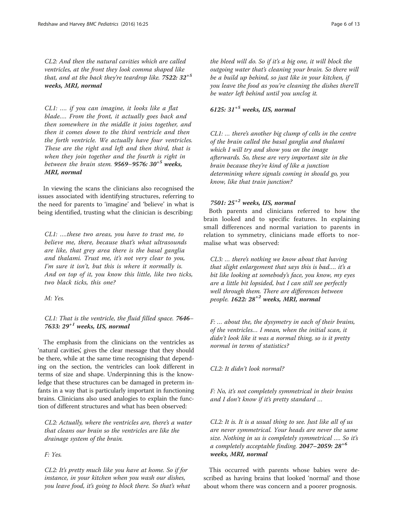CL2: And then the natural cavities which are called ventricles, at the front they look comma shaped like that, and at the back they're teardrop like.  $7522:32^{+5}$ weeks, MRI, normal

CL1: …. if you can imagine, it looks like a flat blade…. From the front, it actually goes back and then somewhere in the middle it joins together, and then it comes down to the third ventricle and then the forth ventricle. We actually have four ventricles. These are the right and left and then third, that is when they join together and the fourth is right in between the brain stem. 9569–9576:  $30^{+5}$  weeks, MRI, normal

In viewing the scans the clinicians also recognised the issues associated with identifying structures, referring to the need for parents to 'imagine' and 'believe' in what is being identified, trusting what the clinician is describing:

CL1: ….these two areas, you have to trust me, to believe me, there, because that's what ultrasounds are like, that grey area there is the basal ganglia and thalami. Trust me, it's not very clear to you, I'm sure it isn't, but this is where it normally is. And on top of it, you know this little, like two ticks, two black ticks, this one?

 $M: Yes$ 

CL1: That is the ventricle, the fluid filled space. 7646– 7633:  $29^{+1}$  weeks, US, normal

The emphasis from the clinicians on the ventricles as 'natural cavities', gives the clear message that they should be there, while at the same time recognising that depending on the section, the ventricles can look different in terms of size and shape. Underpinning this is the knowledge that these structures can be damaged in preterm infants in a way that is particularly important in functioning brains. Clinicians also used analogies to explain the function of different structures and what has been observed:

CL2: Actually, where the ventricles are, there's a water that cleans our brain so the ventricles are like the drainage system of the brain.

F: Yes.

CL2: It's pretty much like you have at home. So if for instance, in your kitchen when you wash our dishes, you leave food, it's going to block there. So that's what the bleed will do. So if it's a big one, it will block the outgoing water that's cleaning your brain. So there will be a build up behind, so just like in your kitchen, if you leave the food as you're cleaning the dishes there'll be water left behind until you unclog it.

# 6125:  $31^{+5}$  weeks, US, normal

CL1: … there's another big clump of cells in the centre of the brain called the basal ganglia and thalami which I will try and show you on the image afterwards. So, these are very important site in the brain because they're kind of like a junction determining where signals coming in should go, you know, like that train junction?

# 7501:  $25^{+2}$  weeks, US, normal

Both parents and clinicians referred to how the brain looked and to specific features. In explaining small differences and normal variation to parents in relation to symmetry, clinicians made efforts to normalise what was observed:

CL3: … there's nothing we know about that having that slight enlargement that says this is bad…. it's a bit like looking at somebody's face, you know, my eyes are a little bit lopsided, but I can still see perfectly well through them. There are differences between people.  $1622: 28^{+2}$  weeks, MRI, normal

F: … about the, the dysymetry in each of their brains, of the ventricles… I mean, when the initial scan, it didn't look like it was a normal thing, so is it pretty normal in terms of statistics?

### CL2: It didn't look normal?

F: No, it's not completely symmetrical in their brains and I don't know if it's pretty standard …

CL2: It is. It is a usual thing to see. Just like all of us are never symmetrical. Your heads are never the same size. Nothing in us is completely symmetrical …. So it's a completely acceptable finding.  $2047-2059$ :  $28^{+6}$ weeks, MRI, normal

This occurred with parents whose babies were described as having brains that looked 'normal' and those about whom there was concern and a poorer prognosis.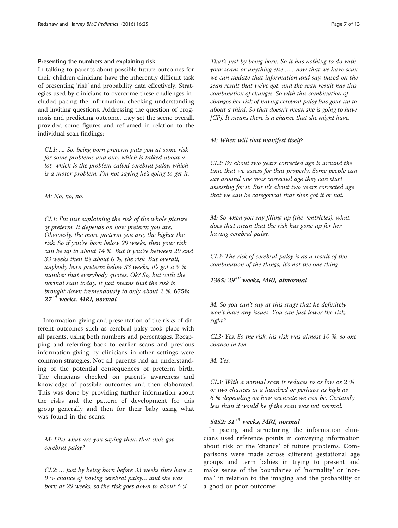### Presenting the numbers and explaining risk

In talking to parents about possible future outcomes for their children clinicians have the inherently difficult task of presenting 'risk' and probability data effectively. Strategies used by clinicians to overcome these challenges included pacing the information, checking understanding and inviting questions. Addressing the question of prognosis and predicting outcome, they set the scene overall, provided some figures and reframed in relation to the individual scan findings:

CL1: .... So, being born preterm puts you at some risk for some problems and one, which is talked about a lot, which is the problem called cerebral palsy, which is a motor problem. I'm not saying he's going to get it.

### M: No, no, no.

CL1: I'm just explaining the risk of the whole picture of preterm. It depends on how preterm you are. Obviously, the more preterm you are, the higher the risk. So if you're born below 29 weeks, then your risk can be up to about 14 %. But if you're between 29 and 33 weeks then it's about 6 %, the risk. But overall, anybody born preterm below 33 weeks, it's got a 9 % number that everybody quotes. Ok? So, but with the normal scan today, it just means that the risk is brought down tremendously to only about 2 %. 6756:  $27^{+4}$  weeks, MRI, normal

Information-giving and presentation of the risks of different outcomes such as cerebral palsy took place with all parents, using both numbers and percentages. Recapping and referring back to earlier scans and previous information-giving by clinicians in other settings were common strategies. Not all parents had an understanding of the potential consequences of preterm birth. The clinicians checked on parent's awareness and knowledge of possible outcomes and then elaborated. This was done by providing further information about the risks and the pattern of development for this group generally and then for their baby using what was found in the scans:

M: Like what are you saying then, that she's got cerebral palsy?

CL2: … just by being born before 33 weeks they have a 9 % chance of having cerebral palsy… and she was born at 29 weeks, so the risk goes down to about 6 %.

That's just by being born. So it has nothing to do with your scans or anything else…… now that we have scan we can update that information and say, based on the scan result that we've got, and the scan result has this combination of changes. So with this combination of changes her risk of having cerebral palsy has gone up to about a third. So that doesn't mean she is going to have [CP]. It means there is a chance that she might have.

M: When will that manifest itself?

CL2: By about two years corrected age is around the time that we assess for that properly. Some people can say around one year corrected age they can start assessing for it. But it's about two years corrected age that we can be categorical that she's got it or not.

M: So when you say filling up (the ventricles), what, does that mean that the risk has gone up for her having cerebral palsy.

CL2: The risk of cerebral palsy is as a result of the combination of the things, it's not the one thing.

# 1365:  $29^{+0}$  weeks, MRI, abnormal

M: So you can't say at this stage that he definitely won't have any issues. You can just lower the risk, right?

CL3: Yes. So the risk, his risk was almost 10 %, so one chance in ten.

M: Yes.

CL3: With a normal scan it reduces to as low as 2 % or two chances in a hundred or perhaps as high as 6 % depending on how accurate we can be. Certainly less than it would be if the scan was not normal.

# 5452:  $31^{+3}$  weeks, MRI, normal

In pacing and structuring the information clinicians used reference points in conveying information about risk or the 'chance' of future problems. Comparisons were made across different gestational age groups and term babies in trying to present and make sense of the boundaries of 'normality' or 'normal' in relation to the imaging and the probability of a good or poor outcome: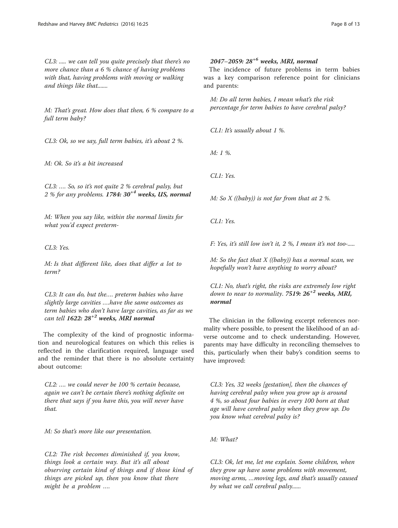CL3: ..... we can tell you quite precisely that there's no more chance than a 6 % chance of having problems with that, having problems with moving or walking and things like that.......

M: That's great. How does that then, 6 % compare to a full term baby?

CL3: Ok, so we say, full term babies, it's about 2 %.

M: Ok. So it's a bit increased

CL3: …. So, so it's not quite 2 % cerebral palsy, but 2 % for any problems.  $1784:30^{+4}$  weeks, US, normal

M: When you say like, within the normal limits for what you'd expect preterm-

CL3: Yes.

M: Is that different like, does that differ a lot to term?

CL3: It can do, but the…. preterm babies who have slightly large cavities ….have the same outcomes as term babies who don't have large cavities, as far as we can tell  $1622: 28^{+2}$  weeks, MRI normal

The complexity of the kind of prognostic information and neurological features on which this relies is reflected in the clarification required, language used and the reminder that there is no absolute certainty about outcome:

CL2: …. we could never be 100 % certain because, again we can't be certain there's nothing definite on there that says if you have this, you will never have that.

M: So that's more like our presentation.

CL2: The risk becomes diminished if, you know, things look a certain way. But it's all about observing certain kind of things and if those kind of things are picked up, then you know that there might be a problem ….

### 2047–2059: 28+6 weeks, MRI, normal

The incidence of future problems in term babies was a key comparison reference point for clinicians and parents:

M: Do all term babies, I mean what's the risk percentage for term babies to have cerebral palsy?

CL1: It's usually about 1 %.

M: 1 %.

CL1: Yes.

M: So  $X((baby))$  is not far from that at 2 %.

CL1: Yes.

 $F: Yes, it's still low isn't it, 2 %, I mean it's not too-....$ 

M: So the fact that  $X$  ((baby)) has a normal scan, we hopefully won't have anything to worry about?

CL1: No, that's right, the risks are extremely low right down to near to normality. 7519:  $26^{+2}$  weeks, MRI, normal

The clinician in the following excerpt references normality where possible, to present the likelihood of an adverse outcome and to check understanding. However, parents may have difficulty in reconciling themselves to this, particularly when their baby's condition seems to have improved:

CL3: Yes, 32 weeks [gestation], then the chances of having cerebral palsy when you grow up is around 4 %, so about four babies in every 100 born at that age will have cerebral palsy when they grow up. Do you know what cerebral palsy is?

M: What?

CL3: Ok, let me, let me explain. Some children, when they grow up have some problems with movement, moving arms, …moving legs, and that's usually caused by what we call cerebral palsy......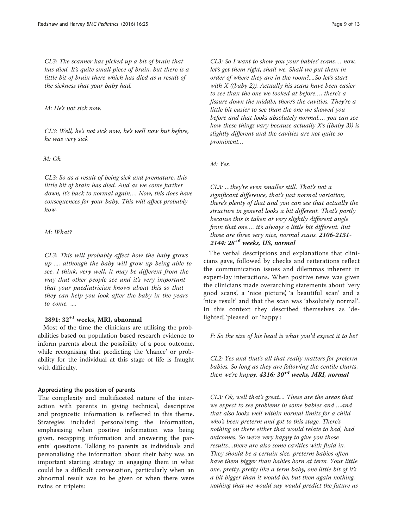CL3: The scanner has picked up a bit of brain that has died. It's quite small piece of brain, but there is a little bit of brain there which has died as a result of the sickness that your baby had.

M: He's not sick now.

CL3: Well, he's not sick now, he's well now but before, he was very sick

 $M: \Omega$ 

CL3: So as a result of being sick and premature, this little bit of brain has died. And as we come further down, it's back to normal again…. Now, this does have consequences for your baby. This will affect probably how-

M: What?

CL3: This will probably affect how the baby grows up .... although the baby will grow up being able to see, I think, very well, it may be different from the way that other people see and it's very important that your paediatrician knows about this so that they can help you look after the baby in the years to come. ....

# 2891:  $32^{+1}$  weeks, MRI, abnormal

Most of the time the clinicians are utilising the probabilities based on population based research evidence to inform parents about the possibility of a poor outcome, while recognising that predicting the 'chance' or probability for the individual at this stage of life is fraught with difficulty.

#### Appreciating the position of parents

The complexity and multifaceted nature of the interaction with parents in giving technical, descriptive and prognostic information is reflected in this theme. Strategies included personalising the information, emphasising when positive information was being given, recapping information and answering the parents' questions. Talking to parents as individuals and personalising the information about their baby was an important starting strategy in engaging them in what could be a difficult conversation, particularly when an abnormal result was to be given or when there were twins or triplets:

CL3: So I want to show you your babies' scans…. now, let's get them right, shall we. Shall we put them in order of where they are in the room?....So let's start with  $X$  ((baby 2)). Actually his scans have been easier to see than the one we looked at before…, there's a fissure down the middle, there's the cavities. They're a little bit easier to see than the one we showed you before and that looks absolutely normal…. you can see how these things vary because actually  $X$ 's ((baby 3)) is slightly different and the cavities are not quite so prominent…

M: Yes.

CL3: …they're even smaller still. That's not a significant difference, that's just normal variation, there's plenty of that and you can see that actually the structure in general looks a bit different. That's partly because this is taken at very slightly different angle from that one…. it's always a little bit different. But those are three very nice, normal scans. 2106-2131- 2144:  $28^{+6}$  weeks, US, normal

The verbal descriptions and explanations that clinicians gave, followed by checks and reiterations reflect the communication issues and dilemmas inherent in expert-lay interactions. When positive news was given the clinicians made overarching statements about 'very good scans', a 'nice picture', 'a beautiful scan' and a 'nice result' and that the scan was 'absolutely normal'. In this context they described themselves as 'delighted', 'pleased' or 'happy':

F: So the size of his head is what you'd expect it to be?

CL2: Yes and that's all that really matters for preterm babies. So long as they are following the centile charts, then we're happy.  $4316:30^{+4}$  weeks, MRI, normal

CL3: Ok, well that's great.... These are the areas that we expect to see problems in some babies and …and that also looks well within normal limits for a child who's been preterm and got to this stage. There's nothing on there either that would relate to bad, bad outcomes. So we're very happy to give you those results....there are also some cavities with fluid in. They should be a certain size, preterm babies often have them bigger than babies born at term. Your little one, pretty, pretty like a term baby, one little bit of it's a bit bigger than it would be, but then again nothing, nothing that we would say would predict the future as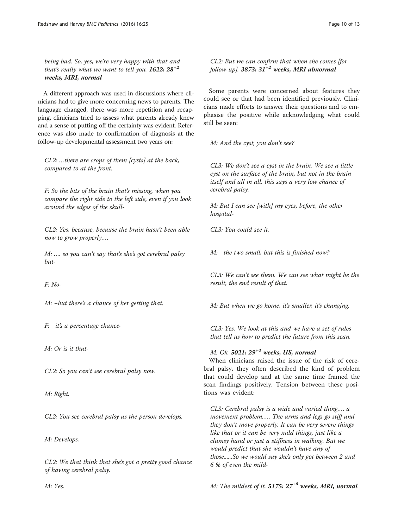being bad. So, yes, we're very happy with that and that's really what we want to tell you.  $1622: 28^{+2}$ weeks, MRI, normal

A different approach was used in discussions where clinicians had to give more concerning news to parents. The language changed, there was more repetition and recapping, clinicians tried to assess what parents already knew and a sense of putting off the certainty was evident. Reference was also made to confirmation of diagnosis at the follow-up developmental assessment two years on:

CL2: …there are crops of them [cysts] at the back, compared to at the front.

F: So the bits of the brain that's missing, when you compare the right side to the left side, even if you look around the edges of the skull-

CL2: Yes, because, because the brain hasn't been able now to grow properly….

M: …. so you can't say that's she's got cerebral palsy but-

F: No-

M: −but there's a chance of her getting that.

F: −it's a percentage chance-

M: Or is it that-

CL2: So you can't see cerebral palsy now.

M: Right.

CL2: You see cerebral palsy as the person develops.

M: Develops.

CL2: We that think that she's got a pretty good chance of having cerebral palsy.

CL2: But we can confirm that when she comes [for follow-up]. 3873:  $31^{+2}$  weeks, MRI abnormal

Some parents were concerned about features they could see or that had been identified previously. Clinicians made efforts to answer their questions and to emphasise the positive while acknowledging what could still be seen:

M: And the cyst, you don't see?

CL3: We don't see a cyst in the brain. We see a little cyst on the surface of the brain, but not in the brain itself and all in all, this says a very low chance of cerebral palsy.

M: But I can see [with] my eyes, before, the other hospital-

CL3: You could see it.

M: −the two small, but this is finished now?

CL3: We can't see them. We can see what might be the result, the end result of that.

M: But when we go home, it's smaller, it's changing.

CL3: Yes. We look at this and we have a set of rules that tell us how to predict the future from this scan.

# M: Ok. 5021:  $29^{+4}$  weeks, US, normal

When clinicians raised the issue of the risk of cerebral palsy, they often described the kind of problem that could develop and at the same time framed the scan findings positively. Tension between these positions was evident:

CL3: Cerebral palsy is a wide and varied thing…. a movement problem.…. The arms and legs go stiff and they don't move properly. It can be very severe things like that or it can be very mild things, just like a clumsy hand or just a stiffness in walking. But we would predict that she wouldn't have any of those......So we would say she's only got between 2 and 6 % of even the mild-

M: The mildest of it.  $5175: 27^{+6}$  weeks, MRI, normal

M: Yes.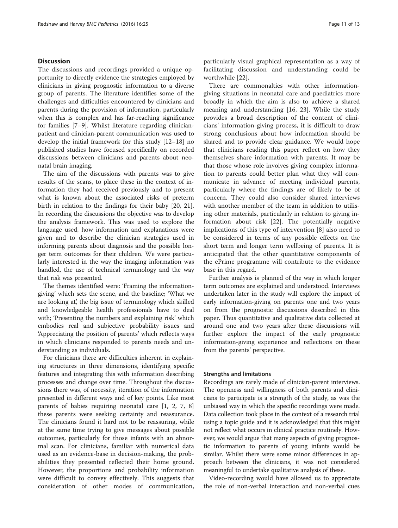### **Discussion**

The discussions and recordings provided a unique opportunity to directly evidence the strategies employed by clinicians in giving prognostic information to a diverse group of parents. The literature identifies some of the challenges and difficulties encountered by clinicians and parents during the provision of information, particularly when this is complex and has far-reaching significance for families [\[7](#page-11-0)–[9](#page-11-0)]. Whilst literature regarding clinicianpatient and clinician-parent communication was used to develop the initial framework for this study [\[12](#page-11-0)–[18\]](#page-11-0) no published studies have focused specifically on recorded discussions between clinicians and parents about neonatal brain imaging.

The aim of the discussions with parents was to give results of the scans, to place these in the context of information they had received previously and to present what is known about the associated risks of preterm birth in relation to the findings for their baby [\[20](#page-11-0), [21](#page-12-0)]. In recording the discussions the objective was to develop the analysis framework. This was used to explore the language used, how information and explanations were given and to describe the clinician strategies used in informing parents about diagnosis and the possible longer term outcomes for their children. We were particularly interested in the way the imaging information was handled, the use of technical terminology and the way that risk was presented.

The themes identified were: 'Framing the informationgiving' which sets the scene, and the baseline; 'What we are looking at', the big issue of terminology which skilled and knowledgeable health professionals have to deal with; 'Presenting the numbers and explaining risk' which embodies real and subjective probability issues and 'Appreciating the position of parents' which reflects ways in which clinicians responded to parents needs and understanding as individuals.

For clinicians there are difficulties inherent in explaining structures in three dimensions, identifying specific features and integrating this with information describing processes and change over time. Throughout the discussions there was, of necessity, iteration of the information presented in different ways and of key points. Like most parents of babies requiring neonatal care [\[1](#page-11-0), [2](#page-11-0), [7, 8](#page-11-0)] these parents were seeking certainty and reassurance. The clinicians found it hard not to be reassuring, while at the same time trying to give messages about possible outcomes, particularly for those infants with an abnormal scan. For clinicians, familiar with numerical data used as an evidence-base in decision-making, the probabilities they presented reflected their home ground. However, the proportions and probability information were difficult to convey effectively. This suggests that consideration of other modes of communication, particularly visual graphical representation as a way of facilitating discussion and understanding could be worthwhile [[22\]](#page-12-0).

There are commonalties with other informationgiving situations in neonatal care and paediatrics more broadly in which the aim is also to achieve a shared meaning and understanding [\[16](#page-11-0), [23\]](#page-12-0). While the study provides a broad description of the content of clinicians' information-giving process, it is difficult to draw strong conclusions about how information should be shared and to provide clear guidance. We would hope that clinicians reading this paper reflect on how they themselves share information with parents. It may be that those whose role involves giving complex information to parents could better plan what they will communicate in advance of meeting individual parents, particularly where the findings are of likely to be of concern. They could also consider shared interviews with another member of the team in addition to utilising other materials, particularly in relation to giving information about risk [\[22](#page-12-0)]. The potentially negative implications of this type of intervention [[8](#page-11-0)] also need to be considered in terms of any possible effects on the short term and longer term wellbeing of parents. It is anticipated that the other quantitative components of the ePrime programme will contribute to the evidence base in this regard.

Further analysis is planned of the way in which longer term outcomes are explained and understood. Interviews undertaken later in the study will explore the impact of early information-giving on parents one and two years on from the prognostic discussions described in this paper. Thus quantitative and qualitative data collected at around one and two years after these discussions will further explore the impact of the early prognostic information-giving experience and reflections on these from the parents' perspective.

### Strengths and limitations

Recordings are rarely made of clinician-parent interviews. The openness and willingness of both parents and clinicians to participate is a strength of the study, as was the unbiased way in which the specific recordings were made. Data collection took place in the context of a research trial using a topic guide and it is acknowledged that this might not reflect what occurs in clinical practice routinely. However, we would argue that many aspects of giving prognostic information to parents of young infants would be similar. Whilst there were some minor differences in approach between the clinicians, it was not considered meaningful to undertake qualitative analysis of these.

Video-recording would have allowed us to appreciate the role of non-verbal interaction and non-verbal cues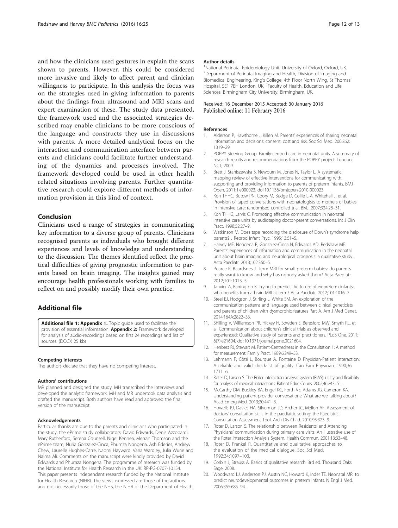<span id="page-11-0"></span>and how the clinicians used gestures in explain the scans shown to parents. However, this could be considered more invasive and likely to affect parent and clinician willingness to participate. In this analysis the focus was on the strategies used in giving information to parents about the findings from ultrasound and MRI scans and expert examination of these. The study data presented, the framework used and the associated strategies described may enable clinicians to be more conscious of the language and constructs they use in discussions with parents. A more detailed analytical focus on the interaction and communication interface between parents and clinicians could facilitate further understanding of the dynamics and processes involved. The framework developed could be used in other health related situations involving parents. Further quantitative research could explore different methods of information provision in this kind of context.

### Conclusion

Clinicians used a range of strategies in communicating key information to a diverse group of parents. Clinicians recognised parents as individuals who brought different experiences and levels of knowledge and understanding to the discussion. The themes identified reflect the practical difficulties of giving prognostic information to parents based on brain imaging. The insights gained may encourage health professionals working with families to reflect on and possibly modify their own practice.

### Additional file

[Additional file 1: Appendix 1.](dx.doi.org/10.1186/s12887-016-0561-6) Topic guide used to facilitate the provision of essential information. **Appendix 2:** Framework developed for analysis of audio-recordings based on first 24 recordings and list of sources. (DOCX 25 kb)

#### Competing interests

The authors declare that they have no competing interest.

#### Authors' contributions

MR planned and designed the study. MH transcribed the interviews and developed the analytic framework. MH and MR undertook data analysis and drafted the manuscript. Both authors have read and approved the final version of the manuscript.

#### Acknowledgements

Particular thanks are due to the parents and clinicians who participated in the study, the ePrime study collaborators: David Edwards, Denis Azzopardi, Mary Rutherford, Serena Counsell, Nigel Kennea, Merran Thomson and the ePrime team; Nuria Gonzalez-Cinca, Phumza Nongena, Ash Ederies, Andrew Chew, Laurelle Hughes-Carre, Naomi Hayward, Vana Wardley, Julia Wurie and Naima Ali. Comments on the manuscript were kindly provided by David Edwards and Phumza Nongena. The programme of research was funded by the National Institute for Health Research in the UK: RP-PG-0707-10154. This paper presents independent research funded by the National Institute for Health Research (NIHR). The views expressed are those of the authors and not necessarily those of the NHS, the NIHR or the Department of Health.

#### Author details

<sup>1</sup>National Perinatal Epidemiology Unit, University of Oxford, Oxford, UK <sup>2</sup>Department of Perinatal Imaging and Health, Division of Imaging and Biomedical Engineering, King's College, 4th Floor North Wing, St Thomas' Hospital, SE1 7EH London, UK. <sup>3</sup>Faculty of Health, Education and Life Sciences, Birmingham City University, Birmingham, UK.

#### Received: 16 December 2015 Accepted: 30 January 2016 Published online: 11 February 2016

#### References

- 1. Alderson P, Hawthorne J, Killen M. Parents' experiences of sharing neonatal information and decisions: consent, cost and risk. Soc Sci Med. 2006;62: 1319–29.
- 2. POPPY Steering Group. Family-centred care in neonatal units. A summary of research results and recommendations from the POPPY project. London: NCT; 2009.
- Brett J, Staniszewska S, Newburn M, Jones N, Taylor L. A systematic mapping review of effective interventions for communicating with, supporting and providing information to parents of preterm infants. BMJ Open. 2011;1:e000023. doi:[10.1136/bmjopen-2010-000023](http://dx.doi.org/10.1136/bmjopen-2010-000023).
- 4. Koh THHG, Butow PN, Coory M, Budge D, Collie L-A, Whitehall J, et al. Provision of taped conversations with neonatologists to mothers of babies in intensive care: randomised controlled trial. BMJ. 2007;334:28–31.
- 5. Koh THHG, Jarvis C. Promoting effective communication in neonatal intensive care units by audiotaping doctor-parent conversations. Int J Clin Pract. 1998;52:27–9.
- 6. Watkinson M. Does tape recording the disclosure of Down's syndrome help parents? J Reprod Infant Psyc. 1995;13:51–5.
- 7. Harvey ME, Nongena P, Gonzalez-Cinca N, Edwards AD, Redshaw ME. Parents' experiences of information and communication in the neonatal unit about brain imaging and neurological prognosis: a qualitative study. Acta Paediatr. 2013;102:360–5.
- 8. Pearce R, Baardsnes J. Term MRI for small preterm babies: do parents really want to know and why has nobody asked them? Acta Paediatr. 2012;101:1013–5.
- 9. Janvier A, Barrington K. Trying to predict the future of ex-preterm infants: who benefits from a brain MRI at term? Acta Paediatr. 2012;101:1016–7.
- 10. Steel EJ, Hodgson J, Stirling L, White SM. An exploration of the communication patterns and language used between clinical geneticists and parents of children with dysmorphic features Part A. Am J Med Genet. 2014;164A:2822–33.
- 11. Shilling V, Williamson PR, Hickey H, Sowden E, Beresford MW, Smyth RL, et al. Communication about children's clinical trials as observed and experienced: Qualitative study of parents and practitioners. PLoS One. 2011; 6(7):e21604. doi:[10.1371/journal.pone.0021604](http://dx.doi.org/10.1371/journal.pone.0021604).
- 12. Henbest RJ, Stewart M. Patient-Centredness in the Consultation 1: A method for measurement. Family Pract. 1989;6:249–53.
- 13. Lehmann F, Côté L, Bourque A. Fontaine D Physician-Patient Interaction: A reliable and valid check-list of quality. Can Fam Physician. 1990;36: 1711–6.
- 14. Roter D, Larson S. The Roter interaction analysis system (RIAS): utility and flexibility for analysis of medical interactions. Patient Educ Couns. 2002;46:243–51.
- 15. McCarthy DM, Buckley BA, Engel KG, Forth VE, Adams JG, Cameron KA. Understanding patient-provider conversations: What are we talking about? Acad Emerg Med. 2013;20:441–8.
- 16. Howells RJ, Davies HA, Silverman JD, Archer JC, Mellon AF. Assessment of doctors' consultation skills in the paediatric setting: the Paediatric Consultation Assessment Tool. Arch Dis Child. 2010;95:323–9.
- 17. Roter D, Larson S. The relationship between Residents' and Attending Physicians' communication during primary care visits: An illustrative use of the Roter Interaction Analysis System. Health Commun. 2001;13:33–48.
- 18. Roter D, Frankel R. Quantitative and qualitative approaches to the evaluation of the medical dialogue. Soc Sci Med. 1992;34:1097–103.
- 19. Corbin J, Strauss A. Basics of qualitative research. 3rd ed. Thousand Oaks: Sage: 2008.
- 20. Woodward LJ, Anderson PJ, Austin NC, Howard K, Inder TE. Neonatal MRI to predict neurodevelopmental outcomes in preterm infants. N Engl J Med. 2006;355:685–94.